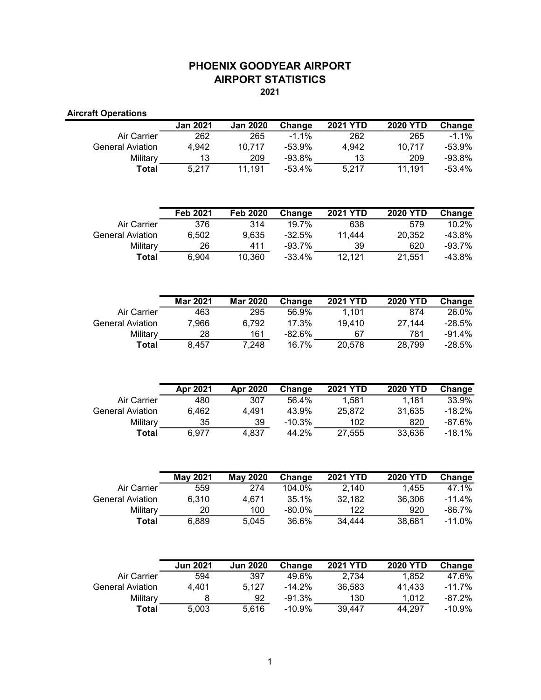## PHOENIX GOODYEAR AIRPORT AIRPORT STATISTICS 2021

| <b>Aircraft Operations</b> |                 |                  |          |                 |                 |          |
|----------------------------|-----------------|------------------|----------|-----------------|-----------------|----------|
|                            | <b>Jan 2021</b> | <b>Jan 2020</b>  | Change   | <b>2021 YTD</b> | <b>2020 YTD</b> | Change   |
| Air Carrier                | 262             | 265              | $-1.1%$  | 262             | 265             | $-1.1%$  |
| <b>General Aviation</b>    | 4,942           | 10,717           | $-53.9%$ | 4,942           | 10,717          | $-53.9%$ |
| Military                   | 13              | 209              | $-93.8%$ | 13              | 209             | $-93.8%$ |
| <b>Total</b>               | 5,217           | 11,191           | $-53.4%$ | 5,217           | 11,191          | $-53.4%$ |
|                            |                 |                  |          |                 |                 |          |
|                            | <b>Feb 2021</b> | <b>Feb 2020</b>  | Change   | <b>2021 YTD</b> | <b>2020 YTD</b> | Change   |
| Air Carrier                | 376             | $\overline{3}14$ | 19.7%    | 638             | 579             | 10.2%    |
| <b>General Aviation</b>    | 6,502           | 9,635            | $-32.5%$ | 11,444          | 20,352          | $-43.8%$ |
| Military                   | 26              | 411              | $-93.7%$ | 39              | 620             | $-93.7%$ |
| <b>Total</b>               | 6,904           | 10,360           | $-33.4%$ | 12,121          | 21,551          | $-43.8%$ |
|                            |                 |                  |          |                 |                 |          |
|                            | <b>Mar 2021</b> | <b>Mar 2020</b>  | Change   | <b>2021 YTD</b> | <b>2020 YTD</b> | Change   |
| Air Carrier                | 463             | 295              | 56.9%    | 1,101           | 874             | 26.0%    |
| <b>General Aviation</b>    | 7,966           | 6,792            | 17.3%    | 19,410          | 27,144          | $-28.5%$ |
| Military                   | 28              | 161              | $-82.6%$ | 67              | 781             | $-91.4%$ |
| <b>Total</b>               | 8,457           | 7,248            | 16.7%    | 20,578          | 28,799          | $-28.5%$ |
|                            |                 |                  |          |                 |                 |          |
|                            | <b>Apr 2021</b> | <b>Apr 2020</b>  | Change   | <b>2021 YTD</b> | 2020 YTD        | Change   |
| Air Carrier                | 480             | 307              | 56.4%    | 1,581           | 1,181           | 33.9%    |
| <b>General Aviation</b>    | 6,462           | 4,491            | 43.9%    | 25,872          | 31,635          | $-18.2%$ |
| Military                   | 35              | 39               | $-10.3%$ | 102             | 820             | $-87.6%$ |
| <b>Total</b>               | 6,977           | 4,837            | 44.2%    | 27,555          | 33,636          | $-18.1%$ |
|                            |                 |                  |          |                 |                 |          |
|                            | <b>May 2021</b> | <b>May 2020</b>  | Change   | <b>2021 YTD</b> | <b>2020 YTD</b> | Change   |
| Air Carrier                | 559             | 274              | 104.0%   | 2,140           | 1,455           | 47.1%    |
| <b>General Aviation</b>    | 6,310           | 4,671            | 35.1%    | 32,182          | 36,306          | $-11.4%$ |
| Military                   | 20              | 100              | $-80.0%$ | 122             | 920             | $-86.7%$ |
| <b>Total</b>               | 6,889           | 5,045            | 36.6%    | 34,444          | 38,681          | $-11.0%$ |
|                            |                 |                  |          |                 |                 |          |
|                            | <b>Jun 2021</b> | <b>Jun 2020</b>  | Change   | <b>2021 YTD</b> | <b>2020 YTD</b> | Change   |
| Air Carrier                | 594             | 397              | 49.6%    | 2,734           | 1,852           | 47.6%    |
| <b>General Aviation</b>    | 4,401           | 5,127            | $-14.2%$ | 36,583          | 41,433          | $-11.7%$ |
| Military                   | 8               | 92               | $-91.3%$ | 130             | 1,012           | $-87.2%$ |
| <b>Total</b>               | 5,003           | 5,616            | $-10.9%$ | 39,447          | 44,297          | $-10.9%$ |